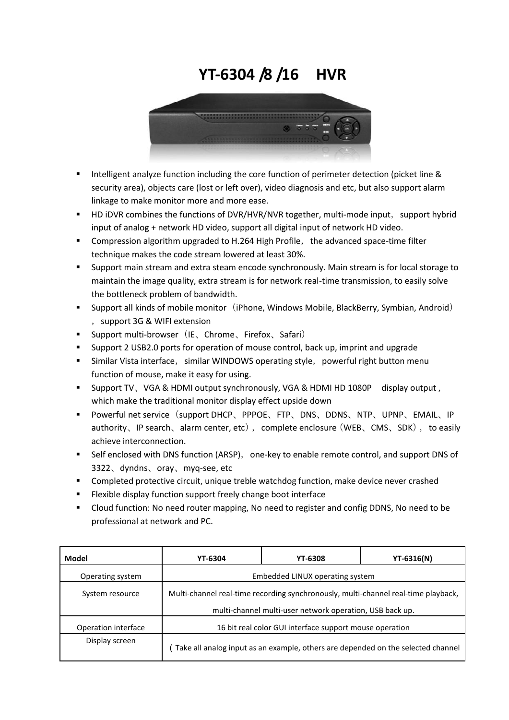## **YT-6304 /8 /16 HVR**



- Intelligent analyze function including the core function of perimeter detection (picket line & security area), objects care (lost or left over), video diagnosis and etc, but also support alarm linkage to make monitor more and more ease.
- HD iDVR combines the functions of DVR/HVR/NVR together, multi-mode input, support hybrid input of analog + network HD video, support all digital input of network HD video.
- **EXECOM** Compression algorithm upgraded to H.264 High Profile, the advanced space-time filter technique makes the code stream lowered at least 30%.
- Support main stream and extra steam encode synchronously. Main stream is for local storage to maintain the image quality, extra stream is for network real-time transmission, to easily solve the bottleneck problem of bandwidth.
- **Support all kinds of mobile monitor** (iPhone, Windows Mobile, BlackBerry, Symbian, Android) , support 3G & WIFI extension
- Support multi-browser (IE、Chrome、Firefox、Safari)
- Support 2 USB2.0 ports for operation of mouse control, back up, imprint and upgrade
- Similar Vista interface, similar WINDOWS operating style, powerful right button menu function of mouse, make it easy for using.
- Support TV、VGA & HDMI output synchronously, VGA & HDMI HD 1080P display output, which make the traditional monitor display effect upside down
- Powerful net service (support DHCP、PPPOE、FTP、DNS、DDNS、NTP、UPNP、EMAIL、IP authority、IP search、alarm center, etc), complete enclosure(WEB、CMS、SDK), to easily achieve interconnection.
- Self enclosed with DNS function (ARSP), one-key to enable remote control, and support DNS of 3322、dyndns、oray、myq-see, etc
- **EXP** Completed protective circuit, unique treble watchdog function, make device never crashed
- **Flexible display function support freely change boot interface**
- Cloud function: No need router mapping, No need to register and config DDNS, No need to be professional at network and PC.

| Model               | <b>YT-6304</b>                                                                                                                                 | <b>YT-6308</b> | <b>YT-6316(N)</b> |  |  |
|---------------------|------------------------------------------------------------------------------------------------------------------------------------------------|----------------|-------------------|--|--|
| Operating system    | Embedded LINUX operating system                                                                                                                |                |                   |  |  |
| System resource     | Multi-channel real-time recording synchronously, multi-channel real-time playback,<br>multi-channel multi-user network operation, USB back up. |                |                   |  |  |
| Operation interface | 16 bit real color GUI interface support mouse operation                                                                                        |                |                   |  |  |
| Display screen      | Take all analog input as an example, others are depended on the selected channel                                                               |                |                   |  |  |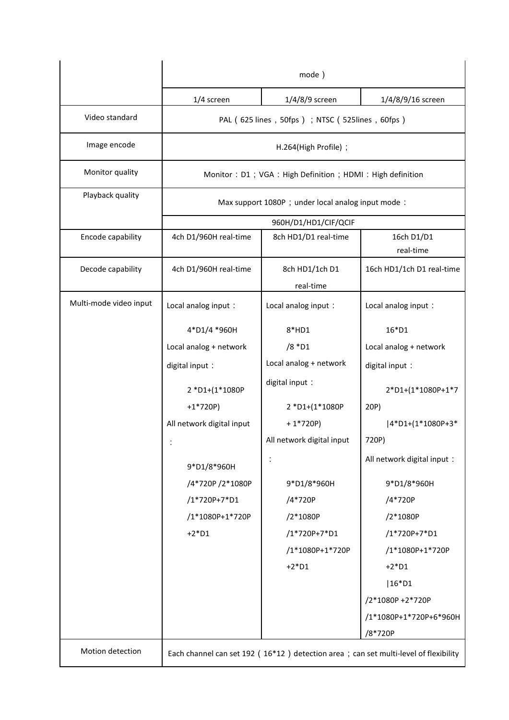|                        | mode)                                                                               |                             |                             |  |  |
|------------------------|-------------------------------------------------------------------------------------|-----------------------------|-----------------------------|--|--|
|                        | 1/4 screen                                                                          | $1/4/8/9$ screen            | 1/4/8/9/16 screen           |  |  |
| Video standard         | PAL (625 lines, 50fps); NTSC (525lines, 60fps)                                      |                             |                             |  |  |
| Image encode           | H.264(High Profile);                                                                |                             |                             |  |  |
| Monitor quality        | Monitor: D1; VGA: High Definition; HDMI: High definition                            |                             |                             |  |  |
| Playback quality       | Max support 1080P ; under local analog input mode :                                 |                             |                             |  |  |
|                        | 960H/D1/HD1/CIF/QCIF                                                                |                             |                             |  |  |
| Encode capability      | 4ch D1/960H real-time                                                               | 8ch HD1/D1 real-time        | 16ch D1/D1<br>real-time     |  |  |
| Decode capability      | 4ch D1/960H real-time                                                               | 8ch HD1/1ch D1<br>real-time | 16ch HD1/1ch D1 real-time   |  |  |
| Multi-mode video input | Local analog input:                                                                 | Local analog input:         | Local analog input:         |  |  |
|                        | 4*D1/4 *960H                                                                        | $8*HD1$                     | $16*D1$                     |  |  |
|                        | Local analog + network                                                              | /8 *D1                      | Local analog + network      |  |  |
|                        | digital input:                                                                      | Local analog + network      | digital input:              |  |  |
|                        | 2 *D1+(1*1080P                                                                      | digital input:              | 2*D1+(1*1080P+1*7           |  |  |
|                        | $+1*720P$                                                                           | 2 *D1+(1*1080P              | 20P)                        |  |  |
|                        | All network digital input                                                           | $+1*720P$                   | 4*D1+(1*1080P+3*            |  |  |
|                        |                                                                                     | All network digital input   | 720P)                       |  |  |
|                        | 9*D1/8*960H                                                                         |                             | All network digital input : |  |  |
|                        | /4*720P /2*1080P                                                                    | 9*D1/8*960H                 | 9*D1/8*960H                 |  |  |
|                        | /1*720P+7*D1                                                                        | /4*720P                     | /4*720P                     |  |  |
|                        | /1*1080P+1*720P                                                                     | /2*1080P                    | /2*1080P                    |  |  |
|                        | $+2*D1$                                                                             | /1*720P+7*D1                | /1*720P+7*D1                |  |  |
|                        |                                                                                     | /1*1080P+1*720P             | /1*1080P+1*720P             |  |  |
|                        |                                                                                     | $+2*D1$                     | $+2*D1$                     |  |  |
|                        |                                                                                     |                             | $ 16^*D1$                   |  |  |
|                        |                                                                                     |                             | /2*1080P +2*720P            |  |  |
|                        |                                                                                     |                             | /1*1080P+1*720P+6*960H      |  |  |
|                        |                                                                                     |                             | /8*720P                     |  |  |
| Motion detection       | Each channel can set 192 (16*12) detection area; can set multi-level of flexibility |                             |                             |  |  |